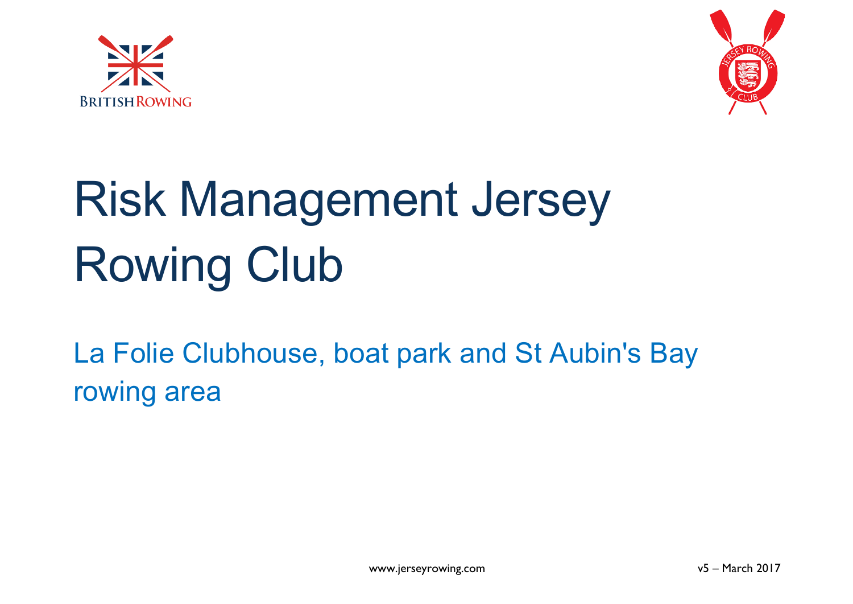



# Risk Management Jersey Rowing Club

La Folie Clubhouse, boat park and St Aubin's Bay rowing area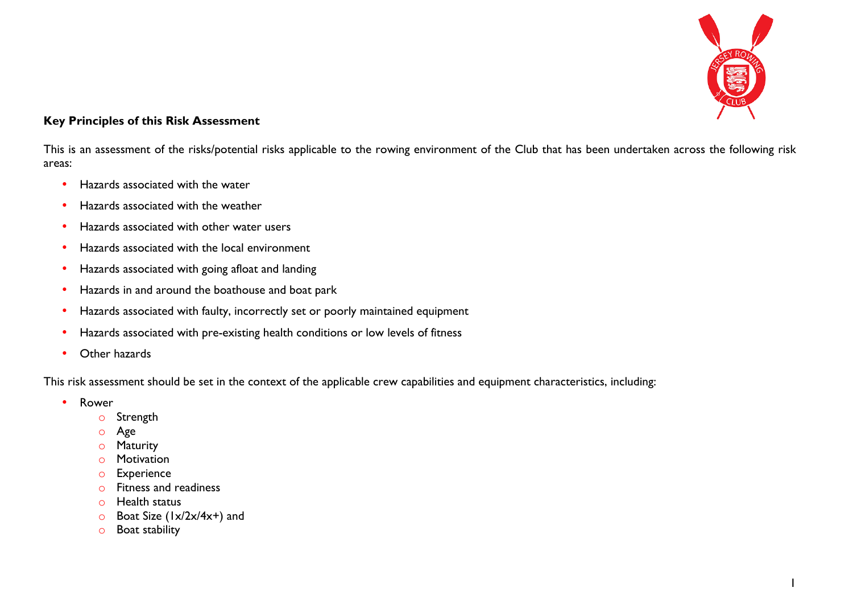

#### **Key Principles of this Risk Assessment**

This is an assessment of the risks/potential risks applicable to the rowing environment of the Club that has been undertaken across the following risk areas:

- Hazards associated with the water
- Hazards associated with the weather
- Hazards associated with other water users
- Hazards associated with the local environment
- Hazards associated with going afloat and landing
- Hazards in and around the boathouse and boat park
- Hazards associated with faulty, incorrectly set or poorly maintained equipment
- Hazards associated with pre-existing health conditions or low levels of fitness
- Other hazards

This risk assessment should be set in the context of the applicable crew capabilities and equipment characteristics, including:

- Rower
	- o Strength
	- o Age
	- o Maturity
	- o Motivation
	- o Experience
	- o Fitness and readiness
	- o Health status
	- o Boat Size (1x/2x/4x+) and
	- o Boat stability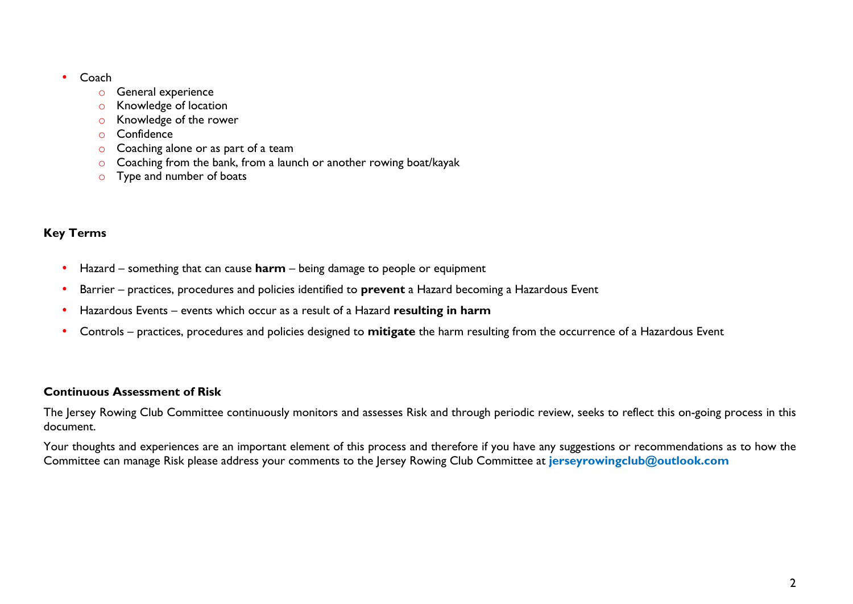- Coach
	- o General experience
	- o Knowledge of location
	- o Knowledge of the rower
	- o Confidence
	- o Coaching alone or as part of a team
	- o Coaching from the bank, from a launch or another rowing boat/kayak
	- o Type and number of boats

#### **Key Terms**

- Hazard something that can cause **harm** being damage to people or equipment
- Barrier practices, procedures and policies identified to **prevent** a Hazard becoming a Hazardous Event
- Hazardous Events events which occur as a result of a Hazard **resulting in harm**
- Controls practices, procedures and policies designed to **mitigate** the harm resulting from the occurrence of a Hazardous Event

#### **Continuous Assessment of Risk**

The Jersey Rowing Club Committee continuously monitors and assesses Risk and through periodic review, seeks to reflect this on-going process in this document.

Your thoughts and experiences are an important element of this process and therefore if you have any suggestions or recommendations as to how the Committee can manage Risk please address your comments to the Jersey Rowing Club Committee at **jerseyrowingclub@outlook.com**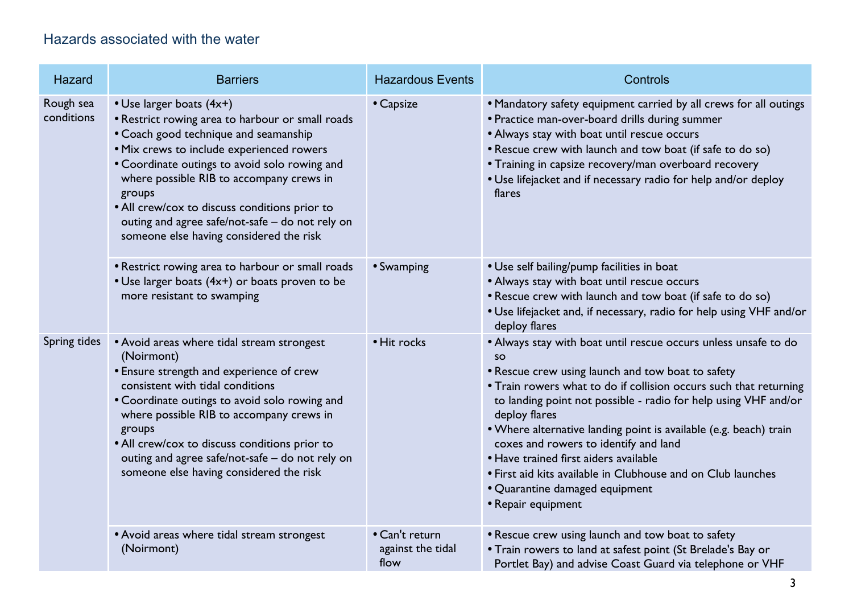#### Hazards associated with the water

| Hazard                  | <b>Barriers</b>                                                                                                                                                                                                                                                                                                                                                                                                          | <b>Hazardous Events</b>                     | Controls                                                                                                                                                                                                                                                                                                                                                                                                                                                                                                                                                                  |
|-------------------------|--------------------------------------------------------------------------------------------------------------------------------------------------------------------------------------------------------------------------------------------------------------------------------------------------------------------------------------------------------------------------------------------------------------------------|---------------------------------------------|---------------------------------------------------------------------------------------------------------------------------------------------------------------------------------------------------------------------------------------------------------------------------------------------------------------------------------------------------------------------------------------------------------------------------------------------------------------------------------------------------------------------------------------------------------------------------|
| Rough sea<br>conditions | • Use larger boats (4x+)<br>• Restrict rowing area to harbour or small roads<br>• Coach good technique and seamanship<br>· Mix crews to include experienced rowers<br>• Coordinate outings to avoid solo rowing and<br>where possible RIB to accompany crews in<br>groups<br>• All crew/cox to discuss conditions prior to<br>outing and agree safe/not-safe - do not rely on<br>someone else having considered the risk | • Capsize                                   | • Mandatory safety equipment carried by all crews for all outings<br>• Practice man-over-board drills during summer<br>• Always stay with boat until rescue occurs<br>. Rescue crew with launch and tow boat (if safe to do so)<br>• Training in capsize recovery/man overboard recovery<br>. Use lifejacket and if necessary radio for help and/or deploy<br>flares                                                                                                                                                                                                      |
|                         | • Restrict rowing area to harbour or small roads<br>• Use larger boats (4x+) or boats proven to be<br>more resistant to swamping                                                                                                                                                                                                                                                                                         | • Swamping                                  | • Use self bailing/pump facilities in boat<br>• Always stay with boat until rescue occurs<br>. Rescue crew with launch and tow boat (if safe to do so)<br>. Use lifejacket and, if necessary, radio for help using VHF and/or<br>deploy flares                                                                                                                                                                                                                                                                                                                            |
| Spring tides            | • Avoid areas where tidal stream strongest<br>(Noirmont)<br>• Ensure strength and experience of crew<br>consistent with tidal conditions<br>• Coordinate outings to avoid solo rowing and<br>where possible RIB to accompany crews in<br>groups<br>• All crew/cox to discuss conditions prior to<br>outing and agree safe/not-safe - do not rely on<br>someone else having considered the risk                           | • Hit rocks                                 | • Always stay with boat until rescue occurs unless unsafe to do<br><b>SO</b><br>• Rescue crew using launch and tow boat to safety<br>• Train rowers what to do if collision occurs such that returning<br>to landing point not possible - radio for help using VHF and/or<br>deploy flares<br>. Where alternative landing point is available (e.g. beach) train<br>coxes and rowers to identify and land<br>• Have trained first aiders available<br>• First aid kits available in Clubhouse and on Club launches<br>• Quarantine damaged equipment<br>• Repair equipment |
|                         | • Avoid areas where tidal stream strongest<br>(Noirmont)                                                                                                                                                                                                                                                                                                                                                                 | • Can't return<br>against the tidal<br>flow | • Rescue crew using launch and tow boat to safety<br>• Train rowers to land at safest point (St Brelade's Bay or<br>Portlet Bay) and advise Coast Guard via telephone or VHF                                                                                                                                                                                                                                                                                                                                                                                              |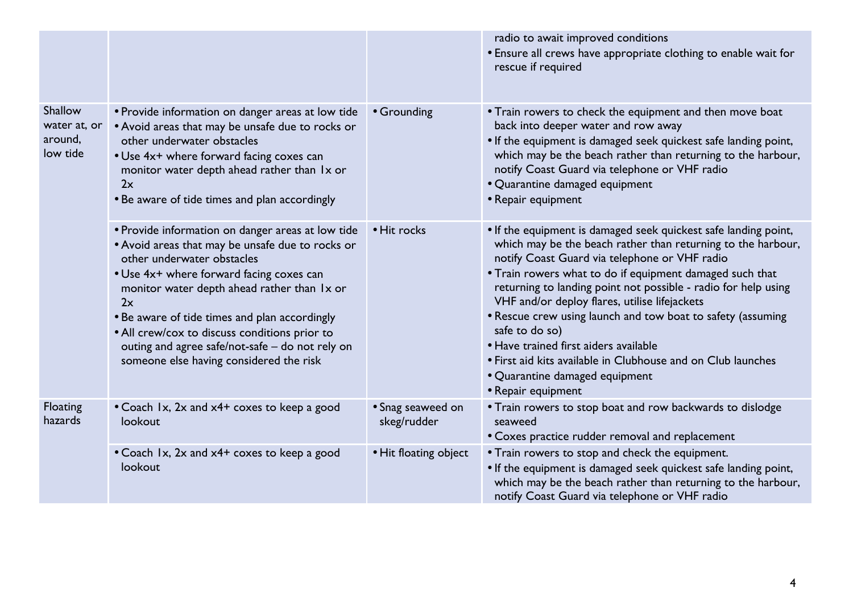|                                                |                                                                                                                                                                                                                                                                                                                                                                                                                                      |                                  | radio to await improved conditions<br>• Ensure all crews have appropriate clothing to enable wait for<br>rescue if required                                                                                                                                                                                                                                                                                                                                                                                                                                                                                       |
|------------------------------------------------|--------------------------------------------------------------------------------------------------------------------------------------------------------------------------------------------------------------------------------------------------------------------------------------------------------------------------------------------------------------------------------------------------------------------------------------|----------------------------------|-------------------------------------------------------------------------------------------------------------------------------------------------------------------------------------------------------------------------------------------------------------------------------------------------------------------------------------------------------------------------------------------------------------------------------------------------------------------------------------------------------------------------------------------------------------------------------------------------------------------|
| Shallow<br>water at, or<br>around,<br>low tide | • Provide information on danger areas at low tide<br>• Avoid areas that may be unsafe due to rocks or<br>other underwater obstacles<br>• Use 4x+ where forward facing coxes can<br>monitor water depth ahead rather than 1x or<br>2x<br>• Be aware of tide times and plan accordingly                                                                                                                                                | • Grounding                      | • Train rowers to check the equipment and then move boat<br>back into deeper water and row away<br>. If the equipment is damaged seek quickest safe landing point,<br>which may be the beach rather than returning to the harbour,<br>notify Coast Guard via telephone or VHF radio<br>• Quarantine damaged equipment<br>• Repair equipment                                                                                                                                                                                                                                                                       |
|                                                | • Provide information on danger areas at low tide<br>• Avoid areas that may be unsafe due to rocks or<br>other underwater obstacles<br>• Use 4x+ where forward facing coxes can<br>monitor water depth ahead rather than Ix or<br>2x<br>• Be aware of tide times and plan accordingly<br>• All crew/cox to discuss conditions prior to<br>outing and agree safe/not-safe - do not rely on<br>someone else having considered the risk | • Hit rocks                      | . If the equipment is damaged seek quickest safe landing point,<br>which may be the beach rather than returning to the harbour,<br>notify Coast Guard via telephone or VHF radio<br>• Train rowers what to do if equipment damaged such that<br>returning to landing point not possible - radio for help using<br>VHF and/or deploy flares, utilise lifejackets<br>• Rescue crew using launch and tow boat to safety (assuming<br>safe to do so)<br>• Have trained first aiders available<br>• First aid kits available in Clubhouse and on Club launches<br>• Quarantine damaged equipment<br>• Repair equipment |
| Floating<br>hazards                            | • Coach 1x, 2x and x4+ coxes to keep a good<br>lookout                                                                                                                                                                                                                                                                                                                                                                               | • Snag seaweed on<br>skeg/rudder | • Train rowers to stop boat and row backwards to dislodge<br>seaweed<br>• Coxes practice rudder removal and replacement                                                                                                                                                                                                                                                                                                                                                                                                                                                                                           |
|                                                | • Coach 1x, 2x and x4+ coxes to keep a good<br>lookout                                                                                                                                                                                                                                                                                                                                                                               | • Hit floating object            | • Train rowers to stop and check the equipment.<br>. If the equipment is damaged seek quickest safe landing point,<br>which may be the beach rather than returning to the harbour,<br>notify Coast Guard via telephone or VHF radio                                                                                                                                                                                                                                                                                                                                                                               |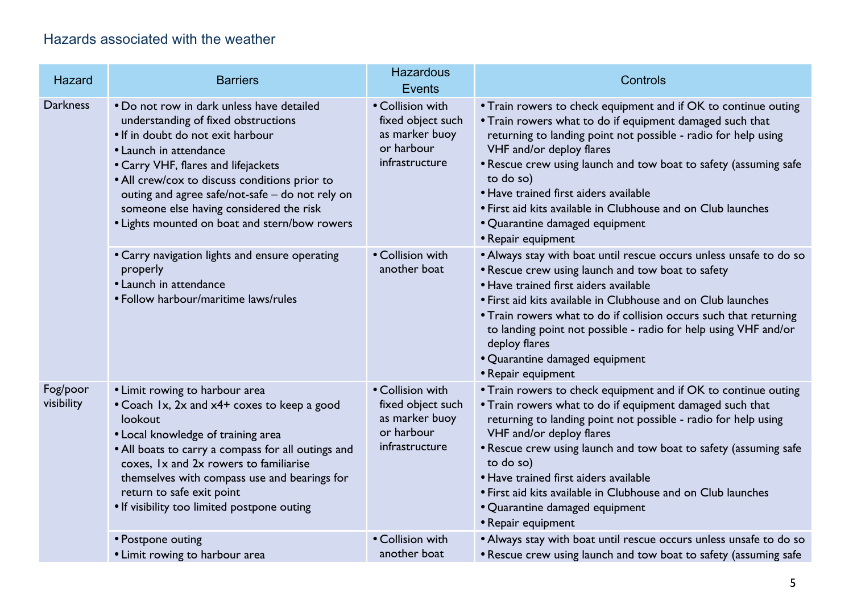### Hazards associated with the weather

| <b>Hazard</b>          | <b>Barriers</b>                                                                                                                                                                                                                                                                                                                                                                        | <b>Hazardous</b><br><b>Events</b>                                                       | Controls                                                                                                                                                                                                                                                                                                                                                                                                                                                                   |
|------------------------|----------------------------------------------------------------------------------------------------------------------------------------------------------------------------------------------------------------------------------------------------------------------------------------------------------------------------------------------------------------------------------------|-----------------------------------------------------------------------------------------|----------------------------------------------------------------------------------------------------------------------------------------------------------------------------------------------------------------------------------------------------------------------------------------------------------------------------------------------------------------------------------------------------------------------------------------------------------------------------|
| <b>Darkness</b>        | • Do not row in dark unless have detailed<br>understanding of fixed obstructions<br>• If in doubt do not exit harbour<br>• Launch in attendance<br>• Carry VHF, flares and lifejackets<br>• All crew/cox to discuss conditions prior to<br>outing and agree safe/not-safe - do not rely on<br>someone else having considered the risk<br>• Lights mounted on boat and stern/bow rowers | • Collision with<br>fixed object such<br>as marker buoy<br>or harbour<br>infrastructure | • Train rowers to check equipment and if OK to continue outing<br>• Train rowers what to do if equipment damaged such that<br>returning to landing point not possible - radio for help using<br>VHF and/or deploy flares<br>• Rescue crew using launch and tow boat to safety (assuming safe<br>to do so)<br>• Have trained first aiders available<br>• First aid kits available in Clubhouse and on Club launches<br>• Quarantine damaged equipment<br>• Repair equipment |
|                        | • Carry navigation lights and ensure operating<br>properly<br>• Launch in attendance<br>• Follow harbour/maritime laws/rules                                                                                                                                                                                                                                                           | • Collision with<br>another boat                                                        | • Always stay with boat until rescue occurs unless unsafe to do so<br>• Rescue crew using launch and tow boat to safety<br>• Have trained first aiders available<br>• First aid kits available in Clubhouse and on Club launches<br>• Train rowers what to do if collision occurs such that returning<br>to landing point not possible - radio for help using VHF and/or<br>deploy flares<br>• Quarantine damaged equipment<br>• Repair equipment                          |
| Fog/poor<br>visibility | • Limit rowing to harbour area<br>• Coach 1x, 2x and x4+ coxes to keep a good<br>lookout<br>• Local knowledge of training area<br>• All boats to carry a compass for all outings and<br>coxes, Ix and 2x rowers to familiarise<br>themselves with compass use and bearings for<br>return to safe exit point<br>• If visibility too limited postpone outing                             | • Collision with<br>fixed object such<br>as marker buoy<br>or harbour<br>infrastructure | • Train rowers to check equipment and if OK to continue outing<br>• Train rowers what to do if equipment damaged such that<br>returning to landing point not possible - radio for help using<br>VHF and/or deploy flares<br>• Rescue crew using launch and tow boat to safety (assuming safe<br>to do so)<br>• Have trained first aiders available<br>• First aid kits available in Clubhouse and on Club launches<br>• Quarantine damaged equipment<br>• Repair equipment |
|                        | • Postpone outing<br>• Limit rowing to harbour area                                                                                                                                                                                                                                                                                                                                    | • Collision with<br>another boat                                                        | • Always stay with boat until rescue occurs unless unsafe to do so<br>• Rescue crew using launch and tow boat to safety (assuming safe                                                                                                                                                                                                                                                                                                                                     |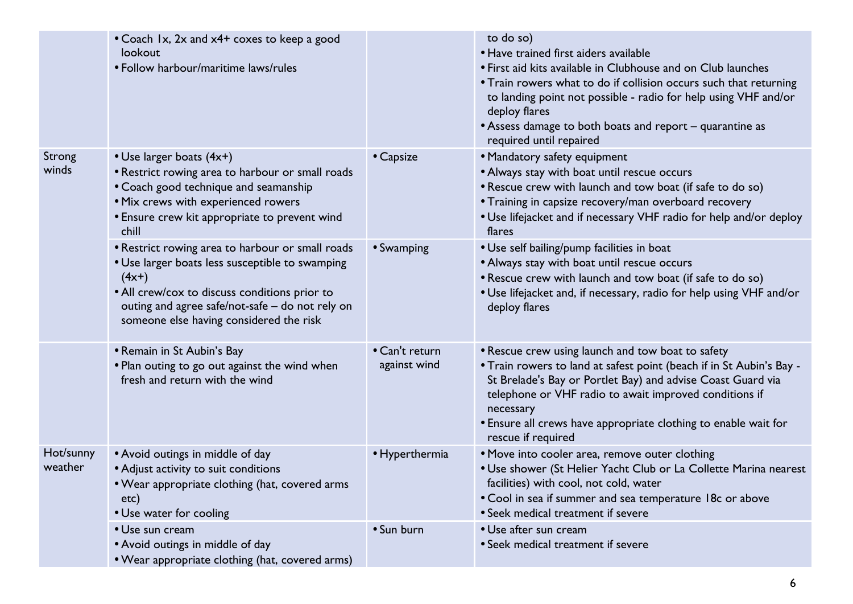|                      | • Coach 1x, 2x and x4+ coxes to keep a good<br>lookout<br>• Follow harbour/maritime laws/rules                                                                                                                                                                |                                | to do so)<br>• Have trained first aiders available<br>• First aid kits available in Clubhouse and on Club launches<br>• Train rowers what to do if collision occurs such that returning<br>to landing point not possible - radio for help using VHF and/or<br>deploy flares<br>• Assess damage to both boats and report – quarantine as<br>required until repaired |
|----------------------|---------------------------------------------------------------------------------------------------------------------------------------------------------------------------------------------------------------------------------------------------------------|--------------------------------|--------------------------------------------------------------------------------------------------------------------------------------------------------------------------------------------------------------------------------------------------------------------------------------------------------------------------------------------------------------------|
| Strong<br>winds      | • Use larger boats (4x+)<br>• Restrict rowing area to harbour or small roads<br>• Coach good technique and seamanship<br>. Mix crews with experienced rowers<br>• Ensure crew kit appropriate to prevent wind<br>chill                                        | • Capsize                      | • Mandatory safety equipment<br>• Always stay with boat until rescue occurs<br>• Rescue crew with launch and tow boat (if safe to do so)<br>• Training in capsize recovery/man overboard recovery<br>. Use lifejacket and if necessary VHF radio for help and/or deploy<br>flares                                                                                  |
|                      | • Restrict rowing area to harbour or small roads<br>• Use larger boats less susceptible to swamping<br>$(4x+)$<br>• All crew/cox to discuss conditions prior to<br>outing and agree safe/not-safe - do not rely on<br>someone else having considered the risk | • Swamping                     | • Use self bailing/pump facilities in boat<br>• Always stay with boat until rescue occurs<br>• Rescue crew with launch and tow boat (if safe to do so)<br>. Use lifejacket and, if necessary, radio for help using VHF and/or<br>deploy flares                                                                                                                     |
|                      | • Remain in St Aubin's Bay<br>• Plan outing to go out against the wind when<br>fresh and return with the wind                                                                                                                                                 | • Can't return<br>against wind | • Rescue crew using launch and tow boat to safety<br>• Train rowers to land at safest point (beach if in St Aubin's Bay -<br>St Brelade's Bay or Portlet Bay) and advise Coast Guard via<br>telephone or VHF radio to await improved conditions if<br>necessary<br>• Ensure all crews have appropriate clothing to enable wait for<br>rescue if required           |
| Hot/sunny<br>weather | • Avoid outings in middle of day<br>• Adjust activity to suit conditions<br>. Wear appropriate clothing (hat, covered arms<br>etc)<br>• Use water for cooling                                                                                                 | • Hyperthermia                 | • Move into cooler area, remove outer clothing<br>• Use shower (St Helier Yacht Club or La Collette Marina nearest<br>facilities) with cool, not cold, water<br>• Cool in sea if summer and sea temperature 18c or above<br>• Seek medical treatment if severe                                                                                                     |
|                      | • Use sun cream<br>• Avoid outings in middle of day<br>• Wear appropriate clothing (hat, covered arms)                                                                                                                                                        | • Sun burn                     | • Use after sun cream<br>• Seek medical treatment if severe                                                                                                                                                                                                                                                                                                        |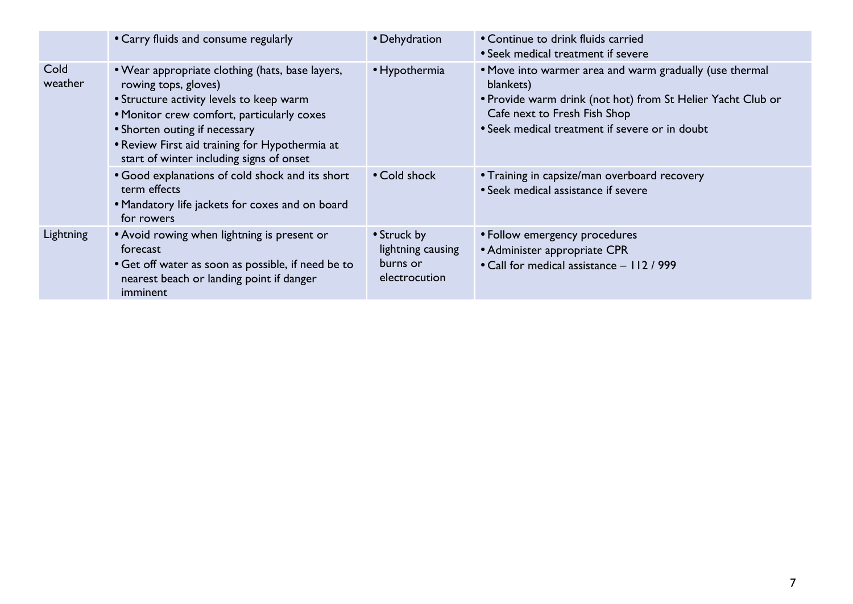|                 | • Carry fluids and consume regularly                                                                                                                                                                                                                                                                                                                                | • Dehydration                                                 | • Continue to drink fluids carried<br>• Seek medical treatment if severe                                                                                                                                                                                                                                     |
|-----------------|---------------------------------------------------------------------------------------------------------------------------------------------------------------------------------------------------------------------------------------------------------------------------------------------------------------------------------------------------------------------|---------------------------------------------------------------|--------------------------------------------------------------------------------------------------------------------------------------------------------------------------------------------------------------------------------------------------------------------------------------------------------------|
| Cold<br>weather | • Wear appropriate clothing (hats, base layers,<br>rowing tops, gloves)<br>• Structure activity levels to keep warm<br>• Monitor crew comfort, particularly coxes<br>• Shorten outing if necessary<br>• Review First aid training for Hypothermia at<br>start of winter including signs of onset<br>• Good explanations of cold shock and its short<br>term effects | • Hypothermia<br>• Cold shock                                 | • Move into warmer area and warm gradually (use thermal<br>blankets)<br>. Provide warm drink (not hot) from St Helier Yacht Club or<br>Cafe next to Fresh Fish Shop<br>• Seek medical treatment if severe or in doubt<br>• Training in capsize/man overboard recovery<br>• Seek medical assistance if severe |
|                 | • Mandatory life jackets for coxes and on board<br>for rowers                                                                                                                                                                                                                                                                                                       |                                                               |                                                                                                                                                                                                                                                                                                              |
| Lightning       | • Avoid rowing when lightning is present or<br>forecast<br>• Get off water as soon as possible, if need be to<br>nearest beach or landing point if danger<br>imminent                                                                                                                                                                                               | • Struck by<br>lightning causing<br>burns or<br>electrocution | • Follow emergency procedures<br>• Administer appropriate CPR<br>• Call for medical assistance - 112 / 999                                                                                                                                                                                                   |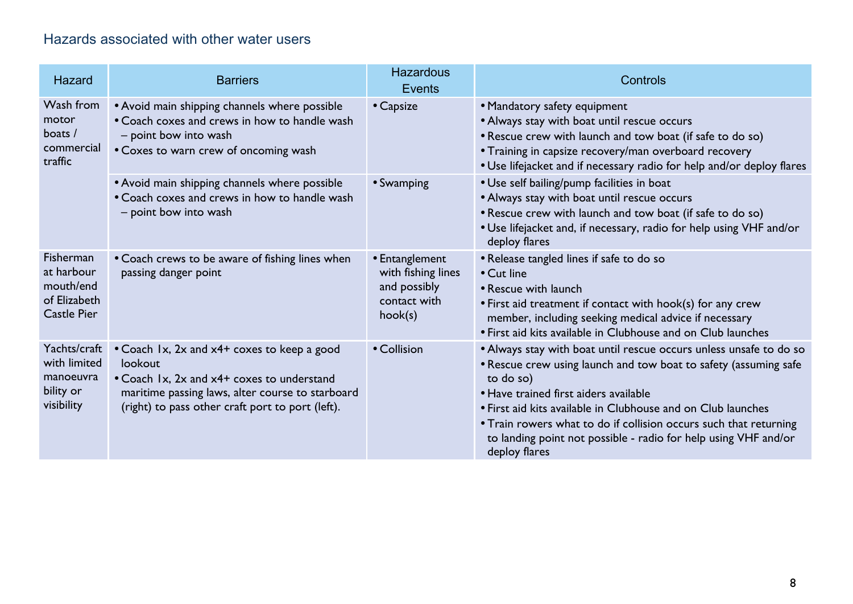### Hazards associated with other water users

| Hazard                                                                     | <b>Barriers</b>                                                                                                                                                                                              | <b>Hazardous</b><br><b>Events</b>                                               | Controls                                                                                                                                                                                                                                                                                                                                                                                                              |
|----------------------------------------------------------------------------|--------------------------------------------------------------------------------------------------------------------------------------------------------------------------------------------------------------|---------------------------------------------------------------------------------|-----------------------------------------------------------------------------------------------------------------------------------------------------------------------------------------------------------------------------------------------------------------------------------------------------------------------------------------------------------------------------------------------------------------------|
| Wash from<br>motor<br>boats /<br>commercial<br>traffic                     | • Avoid main shipping channels where possible<br>• Coach coxes and crews in how to handle wash<br>- point bow into wash<br>• Coxes to warn crew of oncoming wash                                             | • Capsize                                                                       | • Mandatory safety equipment<br>• Always stay with boat until rescue occurs<br>• Rescue crew with launch and tow boat (if safe to do so)<br>• Training in capsize recovery/man overboard recovery<br>. Use lifejacket and if necessary radio for help and/or deploy flares                                                                                                                                            |
|                                                                            | • Avoid main shipping channels where possible<br>• Coach coxes and crews in how to handle wash<br>- point bow into wash                                                                                      | • Swamping                                                                      | • Use self bailing/pump facilities in boat<br>• Always stay with boat until rescue occurs<br>. Rescue crew with launch and tow boat (if safe to do so)<br>. Use lifejacket and, if necessary, radio for help using VHF and/or<br>deploy flares                                                                                                                                                                        |
| Fisherman<br>at harbour<br>mouth/end<br>of Elizabeth<br><b>Castle Pier</b> | • Coach crews to be aware of fishing lines when<br>passing danger point                                                                                                                                      | • Entanglement<br>with fishing lines<br>and possibly<br>contact with<br>hook(s) | • Release tangled lines if safe to do so<br>• Cut line<br>• Rescue with launch<br>• First aid treatment if contact with hook(s) for any crew<br>member, including seeking medical advice if necessary<br>• First aid kits available in Clubhouse and on Club launches                                                                                                                                                 |
| Yachts/craft<br>with limited<br>manoeuvra<br>bility or<br>visibility       | • Coach 1x, 2x and x4+ coxes to keep a good<br>lookout<br>• Coach 1x, 2x and x4+ coxes to understand<br>maritime passing laws, alter course to starboard<br>(right) to pass other craft port to port (left). | • Collision                                                                     | • Always stay with boat until rescue occurs unless unsafe to do so<br>• Rescue crew using launch and tow boat to safety (assuming safe<br>to do so)<br>• Have trained first aiders available<br>• First aid kits available in Clubhouse and on Club launches<br>• Train rowers what to do if collision occurs such that returning<br>to landing point not possible - radio for help using VHF and/or<br>deploy flares |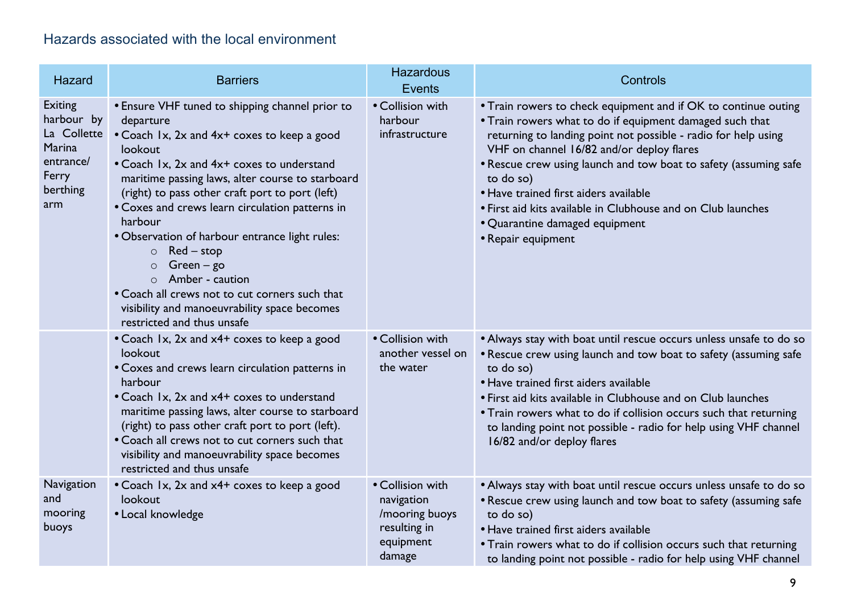## Hazards associated with the local environment

| Hazard                                                                                  | <b>Barriers</b>                                                                                                                                                                                                                                                                                                                                                                                                                                                                                                                                                                                            | <b>Hazardous</b><br><b>Events</b>                                                       | Controls                                                                                                                                                                                                                                                                                                                                                                                                                                                                                    |
|-----------------------------------------------------------------------------------------|------------------------------------------------------------------------------------------------------------------------------------------------------------------------------------------------------------------------------------------------------------------------------------------------------------------------------------------------------------------------------------------------------------------------------------------------------------------------------------------------------------------------------------------------------------------------------------------------------------|-----------------------------------------------------------------------------------------|---------------------------------------------------------------------------------------------------------------------------------------------------------------------------------------------------------------------------------------------------------------------------------------------------------------------------------------------------------------------------------------------------------------------------------------------------------------------------------------------|
| Exiting<br>harbour by<br>La Collette<br>Marina<br>entrance/<br>Ferry<br>berthing<br>arm | • Ensure VHF tuned to shipping channel prior to<br>departure<br>• Coach 1x, 2x and 4x+ coxes to keep a good<br>lookout<br>• Coach 1x, 2x and 4x+ coxes to understand<br>maritime passing laws, alter course to starboard<br>(right) to pass other craft port to port (left)<br>• Coxes and crews learn circulation patterns in<br>harbour<br>• Observation of harbour entrance light rules:<br>$\circ$ Red – stop<br>$Green - go$<br>$\circ$<br>Amber - caution<br>$\circ$<br>• Coach all crews not to cut corners such that<br>visibility and manoeuvrability space becomes<br>restricted and thus unsafe | • Collision with<br>harbour<br>infrastructure                                           | • Train rowers to check equipment and if OK to continue outing<br>• Train rowers what to do if equipment damaged such that<br>returning to landing point not possible - radio for help using<br>VHF on channel 16/82 and/or deploy flares<br>• Rescue crew using launch and tow boat to safety (assuming safe<br>to do so)<br>• Have trained first aiders available<br>• First aid kits available in Clubhouse and on Club launches<br>• Quarantine damaged equipment<br>• Repair equipment |
|                                                                                         | • Coach 1x, 2x and x4+ coxes to keep a good<br>lookout<br>• Coxes and crews learn circulation patterns in<br>harbour<br>• Coach 1x, 2x and x4+ coxes to understand<br>maritime passing laws, alter course to starboard<br>(right) to pass other craft port to port (left).<br>• Coach all crews not to cut corners such that<br>visibility and manoeuvrability space becomes<br>restricted and thus unsafe                                                                                                                                                                                                 | • Collision with<br>another vessel on<br>the water                                      | • Always stay with boat until rescue occurs unless unsafe to do so<br>• Rescue crew using launch and tow boat to safety (assuming safe<br>to do so)<br>• Have trained first aiders available<br>• First aid kits available in Clubhouse and on Club launches<br>• Train rowers what to do if collision occurs such that returning<br>to landing point not possible - radio for help using VHF channel<br>16/82 and/or deploy flares                                                         |
| Navigation<br>and<br>mooring<br>buoys                                                   | • Coach 1x, 2x and x4+ coxes to keep a good<br>lookout<br>• Local knowledge                                                                                                                                                                                                                                                                                                                                                                                                                                                                                                                                | • Collision with<br>navigation<br>/mooring buoys<br>resulting in<br>equipment<br>damage | • Always stay with boat until rescue occurs unless unsafe to do so<br>• Rescue crew using launch and tow boat to safety (assuming safe<br>to do so)<br>• Have trained first aiders available<br>• Train rowers what to do if collision occurs such that returning<br>to landing point not possible - radio for help using VHF channel                                                                                                                                                       |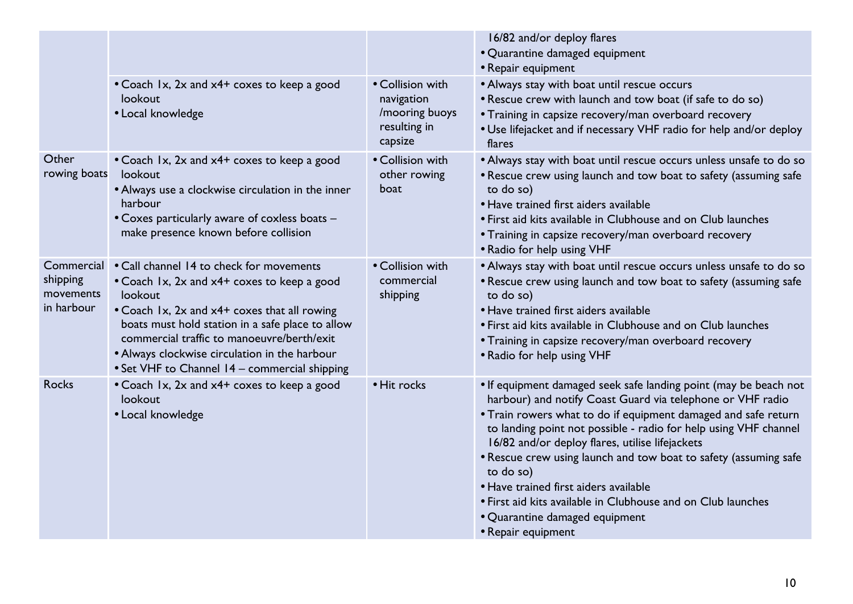|                                                   |                                                                                                                                                                                                                                                                                                                                                        |                                                                             | 16/82 and/or deploy flares                                                                                                                                                                                                                                                                                                                                                                                                                                                                                                                                                |
|---------------------------------------------------|--------------------------------------------------------------------------------------------------------------------------------------------------------------------------------------------------------------------------------------------------------------------------------------------------------------------------------------------------------|-----------------------------------------------------------------------------|---------------------------------------------------------------------------------------------------------------------------------------------------------------------------------------------------------------------------------------------------------------------------------------------------------------------------------------------------------------------------------------------------------------------------------------------------------------------------------------------------------------------------------------------------------------------------|
|                                                   |                                                                                                                                                                                                                                                                                                                                                        |                                                                             | • Quarantine damaged equipment<br>• Repair equipment                                                                                                                                                                                                                                                                                                                                                                                                                                                                                                                      |
|                                                   | • Coach 1x, 2x and x4+ coxes to keep a good<br>lookout<br>• Local knowledge                                                                                                                                                                                                                                                                            | • Collision with<br>navigation<br>/mooring buoys<br>resulting in<br>capsize | • Always stay with boat until rescue occurs<br>. Rescue crew with launch and tow boat (if safe to do so)<br>• Training in capsize recovery/man overboard recovery<br>. Use lifejacket and if necessary VHF radio for help and/or deploy<br>flares                                                                                                                                                                                                                                                                                                                         |
| Other<br>rowing boats                             | • Coach 1x, 2x and x4+ coxes to keep a good<br>lookout<br>• Always use a clockwise circulation in the inner<br>harbour<br>• Coxes particularly aware of coxless boats -<br>make presence known before collision                                                                                                                                        | • Collision with<br>other rowing<br>boat                                    | • Always stay with boat until rescue occurs unless unsafe to do so<br>• Rescue crew using launch and tow boat to safety (assuming safe<br>to do so)<br>• Have trained first aiders available<br>• First aid kits available in Clubhouse and on Club launches<br>• Training in capsize recovery/man overboard recovery<br>• Radio for help using VHF                                                                                                                                                                                                                       |
| Commercial<br>shipping<br>movements<br>in harbour | . Call channel 14 to check for movements<br>• Coach 1x, 2x and x4+ coxes to keep a good<br>lookout<br>• Coach 1x, 2x and x4+ coxes that all rowing<br>boats must hold station in a safe place to allow<br>commercial traffic to manoeuvre/berth/exit<br>• Always clockwise circulation in the harbour<br>• Set VHF to Channel 14 - commercial shipping | • Collision with<br>commercial<br>shipping                                  | • Always stay with boat until rescue occurs unless unsafe to do so<br>• Rescue crew using launch and tow boat to safety (assuming safe<br>to do so)<br>• Have trained first aiders available<br>• First aid kits available in Clubhouse and on Club launches<br>• Training in capsize recovery/man overboard recovery<br>• Radio for help using VHF                                                                                                                                                                                                                       |
| <b>Rocks</b>                                      | • Coach 1x, 2x and x4+ coxes to keep a good<br>lookout<br>• Local knowledge                                                                                                                                                                                                                                                                            | • Hit rocks                                                                 | • If equipment damaged seek safe landing point (may be beach not<br>harbour) and notify Coast Guard via telephone or VHF radio<br>. Train rowers what to do if equipment damaged and safe return<br>to landing point not possible - radio for help using VHF channel<br>16/82 and/or deploy flares, utilise lifejackets<br>• Rescue crew using launch and tow boat to safety (assuming safe<br>to do so)<br>• Have trained first aiders available<br>• First aid kits available in Clubhouse and on Club launches<br>• Quarantine damaged equipment<br>• Repair equipment |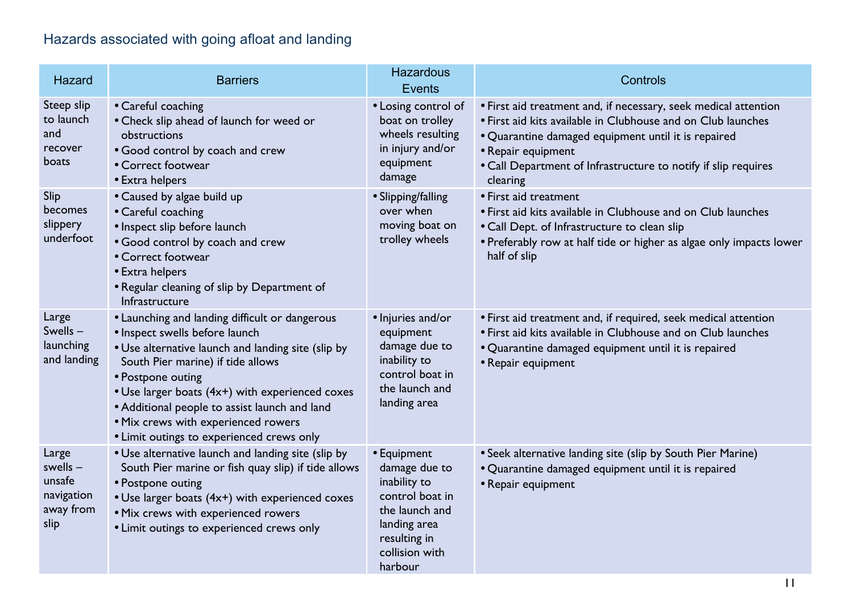# Hazards associated with going afloat and landing

| Hazard                                                           | <b>Barriers</b>                                                                                                                                                                                                                                                                                                                                                                          | <b>Hazardous</b><br><b>Events</b>                                                                                                              | Controls                                                                                                                                                                                                                                                                                   |
|------------------------------------------------------------------|------------------------------------------------------------------------------------------------------------------------------------------------------------------------------------------------------------------------------------------------------------------------------------------------------------------------------------------------------------------------------------------|------------------------------------------------------------------------------------------------------------------------------------------------|--------------------------------------------------------------------------------------------------------------------------------------------------------------------------------------------------------------------------------------------------------------------------------------------|
| Steep slip<br>to launch<br>and<br>recover<br>boats               | • Careful coaching<br>• Check slip ahead of launch for weed or<br>obstructions<br>. Good control by coach and crew<br>• Correct footwear<br>• Extra helpers                                                                                                                                                                                                                              | • Losing control of<br>boat on trolley<br>wheels resulting<br>in injury and/or<br>equipment<br>damage                                          | • First aid treatment and, if necessary, seek medical attention<br>• First aid kits available in Clubhouse and on Club launches<br>• Quarantine damaged equipment until it is repaired<br>• Repair equipment<br>• Call Department of Infrastructure to notify if slip requires<br>clearing |
| Slip<br>becomes<br>slippery<br>underfoot                         | • Caused by algae build up<br>• Careful coaching<br>• Inspect slip before launch<br>• Good control by coach and crew<br>• Correct footwear<br>• Extra helpers<br>• Regular cleaning of slip by Department of<br>Infrastructure                                                                                                                                                           | • Slipping/falling<br>over when<br>moving boat on<br>trolley wheels                                                                            | • First aid treatment<br>• First aid kits available in Clubhouse and on Club launches<br>• Call Dept. of Infrastructure to clean slip<br>• Preferably row at half tide or higher as algae only impacts lower<br>half of slip                                                               |
| Large<br>Swells $-$<br>launching<br>and landing                  | • Launching and landing difficult or dangerous<br>• Inspect swells before launch<br>• Use alternative launch and landing site (slip by<br>South Pier marine) if tide allows<br>• Postpone outing<br>• Use larger boats (4x+) with experienced coxes<br>• Additional people to assist launch and land<br>. Mix crews with experienced rowers<br>• Limit outings to experienced crews only | • Injuries and/or<br>equipment<br>damage due to<br>inability to<br>control boat in<br>the launch and<br>landing area                           | • First aid treatment and, if required, seek medical attention<br>• First aid kits available in Clubhouse and on Club launches<br>• Quarantine damaged equipment until it is repaired<br>• Repair equipment                                                                                |
| Large<br>$swells -$<br>unsafe<br>navigation<br>away from<br>slip | • Use alternative launch and landing site (slip by<br>South Pier marine or fish quay slip) if tide allows<br>• Postpone outing<br>• Use larger boats (4x+) with experienced coxes<br>. Mix crews with experienced rowers<br>• Limit outings to experienced crews only                                                                                                                    | • Equipment<br>damage due to<br>inability to<br>control boat in<br>the launch and<br>landing area<br>resulting in<br>collision with<br>harbour | • Seek alternative landing site (slip by South Pier Marine)<br>• Quarantine damaged equipment until it is repaired<br>• Repair equipment                                                                                                                                                   |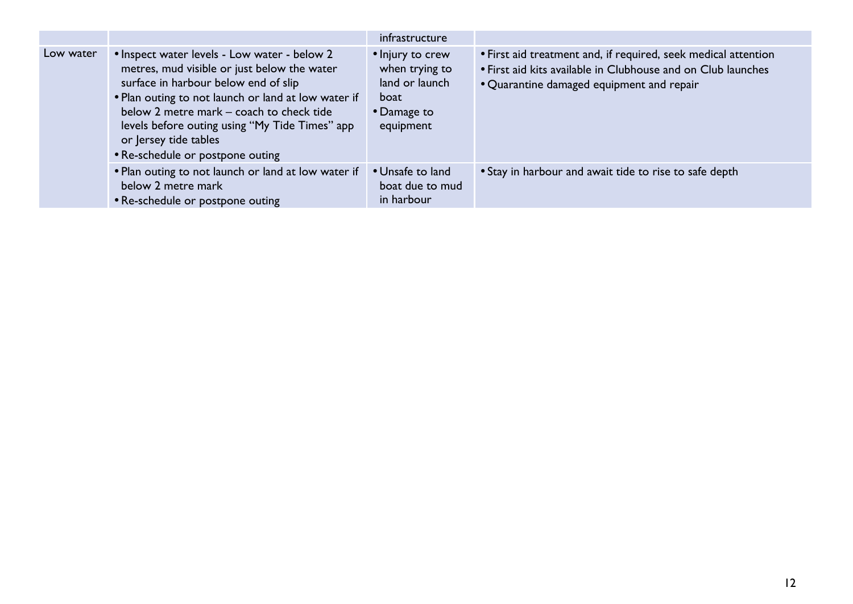|           |                                                                                                                                                                                                                                                                                                                                                       | infrastructure                                                                           |                                                                                                                                                                             |
|-----------|-------------------------------------------------------------------------------------------------------------------------------------------------------------------------------------------------------------------------------------------------------------------------------------------------------------------------------------------------------|------------------------------------------------------------------------------------------|-----------------------------------------------------------------------------------------------------------------------------------------------------------------------------|
| Low water | • Inspect water levels - Low water - below 2<br>metres, mud visible or just below the water<br>surface in harbour below end of slip<br>. Plan outing to not launch or land at low water if<br>below 2 metre mark - coach to check tide<br>levels before outing using "My Tide Times" app<br>or Jersey tide tables<br>• Re-schedule or postpone outing | • Injury to crew<br>when trying to<br>land or launch<br>boat<br>• Damage to<br>equipment | • First aid treatment and, if required, seek medical attention<br>• First aid kits available in Clubhouse and on Club launches<br>• Quarantine damaged equipment and repair |
|           | • Plan outing to not launch or land at low water if<br>below 2 metre mark<br>• Re-schedule or postpone outing                                                                                                                                                                                                                                         | • Unsafe to land<br>boat due to mud<br>in harbour                                        | • Stay in harbour and await tide to rise to safe depth                                                                                                                      |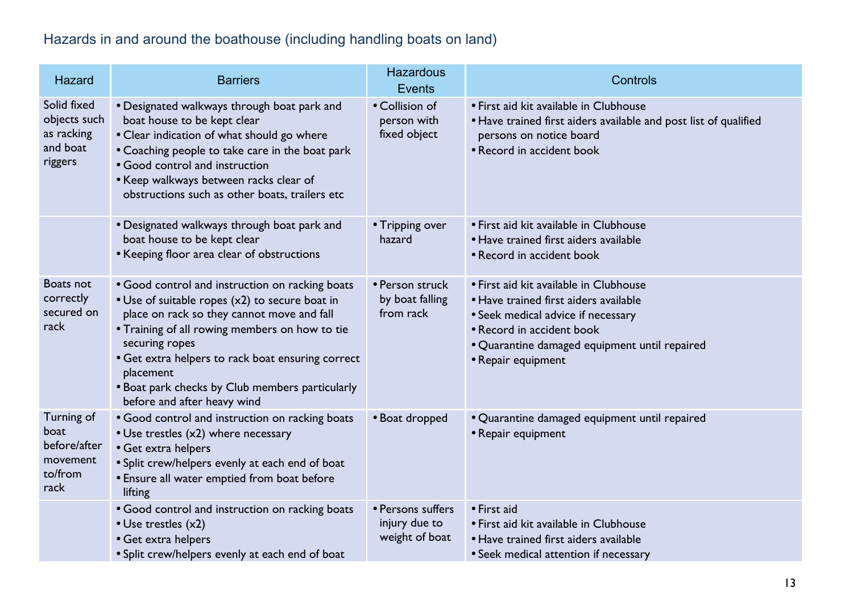# Hazards in and around the boathouse (including handling boats on land)

| Hazard                                                            | <b>Barriers</b>                                                                                                                                                                                                                                                                                                                                                         | <b>Hazardous</b><br><b>Events</b>                    | Controls                                                                                                                                                                                                                  |
|-------------------------------------------------------------------|-------------------------------------------------------------------------------------------------------------------------------------------------------------------------------------------------------------------------------------------------------------------------------------------------------------------------------------------------------------------------|------------------------------------------------------|---------------------------------------------------------------------------------------------------------------------------------------------------------------------------------------------------------------------------|
| Solid fixed<br>objects such<br>as racking<br>and boat<br>riggers  | • Designated walkways through boat park and<br>boat house to be kept clear<br>• Clear indication of what should go where<br>• Coaching people to take care in the boat park<br>• Good control and instruction<br>• Keep walkways between racks clear of<br>obstructions such as other boats, trailers etc                                                               | • Collision of<br>person with<br>fixed object        | • First aid kit available in Clubhouse<br>. Have trained first aiders available and post list of qualified<br>persons on notice board<br>• Record in accident book                                                        |
|                                                                   | • Designated walkways through boat park and<br>boat house to be kept clear<br>• Keeping floor area clear of obstructions                                                                                                                                                                                                                                                | • Tripping over<br>hazard                            | • First aid kit available in Clubhouse<br>• Have trained first aiders available<br>• Record in accident book                                                                                                              |
| Boats not<br>correctly<br>secured on<br>rack                      | • Good control and instruction on racking boats<br>• Use of suitable ropes (x2) to secure boat in<br>place on rack so they cannot move and fall<br>• Training of all rowing members on how to tie<br>securing ropes<br>• Get extra helpers to rack boat ensuring correct<br>placement<br>. Boat park checks by Club members particularly<br>before and after heavy wind | • Person struck<br>by boat falling<br>from rack      | • First aid kit available in Clubhouse<br>• Have trained first aiders available<br>• Seek medical advice if necessary<br>• Record in accident book<br>• Quarantine damaged equipment until repaired<br>• Repair equipment |
| Turning of<br>boat<br>before/after<br>movement<br>to/from<br>rack | • Good control and instruction on racking boats<br>• Use trestles (x2) where necessary<br>• Get extra helpers<br>• Split crew/helpers evenly at each end of boat<br>• Ensure all water emptied from boat before<br>lifting                                                                                                                                              | • Boat dropped                                       | • Quarantine damaged equipment until repaired<br>• Repair equipment                                                                                                                                                       |
|                                                                   | • Good control and instruction on racking boats<br>• Use trestles (x2)<br>• Get extra helpers<br>• Split crew/helpers evenly at each end of boat                                                                                                                                                                                                                        | • Persons suffers<br>injury due to<br>weight of boat | • First aid<br>• First aid kit available in Clubhouse<br>• Have trained first aiders available<br>• Seek medical attention if necessary                                                                                   |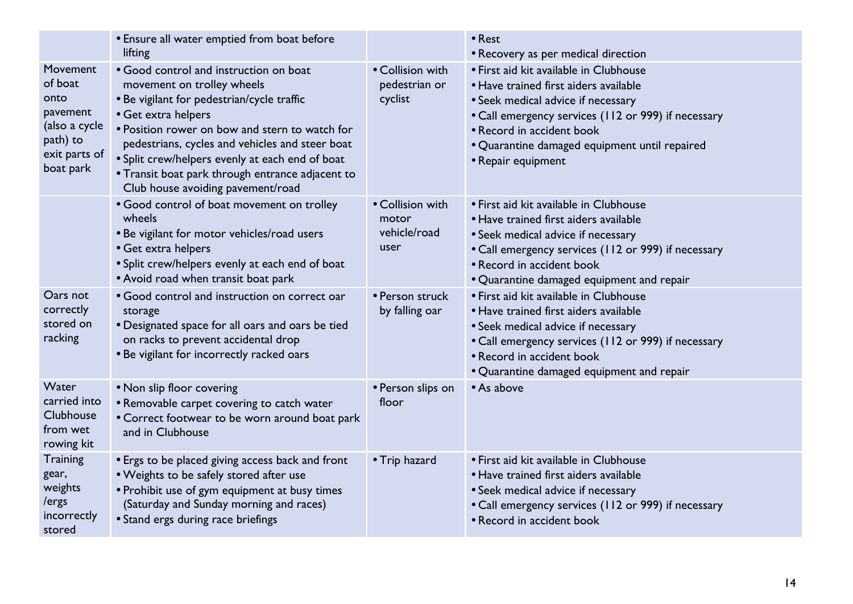|                                                                                                    | • Ensure all water emptied from boat before<br>lifting                                                                                                                                                                                                                                                                                                                                     |                                                   | • Rest<br>• Recovery as per medical direction                                                                                                                                                                                                                                    |
|----------------------------------------------------------------------------------------------------|--------------------------------------------------------------------------------------------------------------------------------------------------------------------------------------------------------------------------------------------------------------------------------------------------------------------------------------------------------------------------------------------|---------------------------------------------------|----------------------------------------------------------------------------------------------------------------------------------------------------------------------------------------------------------------------------------------------------------------------------------|
| Movement<br>of boat<br>onto<br>pavement<br>(also a cycle<br>path) to<br>exit parts of<br>boat park | • Good control and instruction on boat<br>movement on trolley wheels<br>• Be vigilant for pedestrian/cycle traffic<br>• Get extra helpers<br>• Position rower on bow and stern to watch for<br>pedestrians, cycles and vehicles and steer boat<br>• Split crew/helpers evenly at each end of boat<br>• Transit boat park through entrance adjacent to<br>Club house avoiding pavement/road | • Collision with<br>pedestrian or<br>cyclist      | • First aid kit available in Clubhouse<br>• Have trained first aiders available<br>• Seek medical advice if necessary<br>• Call emergency services (112 or 999) if necessary<br>• Record in accident book<br>• Quarantine damaged equipment until repaired<br>• Repair equipment |
|                                                                                                    | • Good control of boat movement on trolley<br>wheels<br>• Be vigilant for motor vehicles/road users<br>• Get extra helpers<br>• Split crew/helpers evenly at each end of boat<br>• Avoid road when transit boat park                                                                                                                                                                       | • Collision with<br>motor<br>vehicle/road<br>user | • First aid kit available in Clubhouse<br>• Have trained first aiders available<br>• Seek medical advice if necessary<br>• Call emergency services (112 or 999) if necessary<br>• Record in accident book<br>• Quarantine damaged equipment and repair                           |
| Oars not<br>correctly<br>stored on<br>racking                                                      | • Good control and instruction on correct oar<br>storage<br>• Designated space for all oars and oars be tied<br>on racks to prevent accidental drop<br>. Be vigilant for incorrectly racked oars                                                                                                                                                                                           | • Person struck<br>by falling oar                 | • First aid kit available in Clubhouse<br>• Have trained first aiders available<br>• Seek medical advice if necessary<br>• Call emergency services (112 or 999) if necessary<br>• Record in accident book<br>• Quarantine damaged equipment and repair                           |
| Water<br>carried into<br>Clubhouse<br>from wet<br>rowing kit                                       | . Non slip floor covering<br>• Removable carpet covering to catch water<br>• Correct footwear to be worn around boat park<br>and in Clubhouse                                                                                                                                                                                                                                              | • Person slips on<br>floor                        | • As above                                                                                                                                                                                                                                                                       |
| Training<br>gear,<br>weights<br>/ergs<br>incorrectly<br>stored                                     | • Ergs to be placed giving access back and front<br>. Weights to be safely stored after use<br>• Prohibit use of gym equipment at busy times<br>(Saturday and Sunday morning and races)<br>• Stand ergs during race briefings                                                                                                                                                              | • Trip hazard                                     | • First aid kit available in Clubhouse<br>• Have trained first aiders available<br>• Seek medical advice if necessary<br>• Call emergency services (112 or 999) if necessary<br>• Record in accident book                                                                        |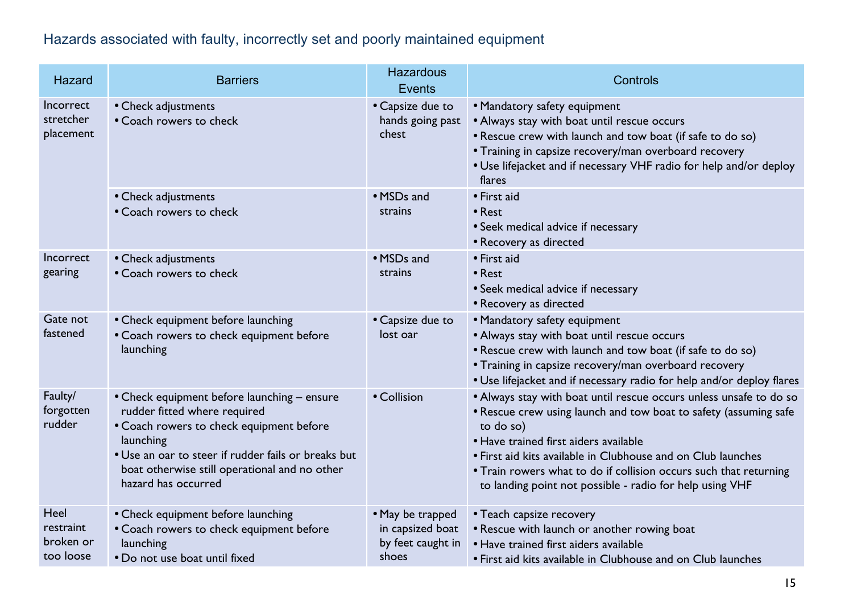## Hazards associated with faulty, incorrectly set and poorly maintained equipment

| Hazard                                      | <b>Barriers</b>                                                                                                                                                                                                                                                     | <b>Hazardous</b><br><b>Events</b>                                  | Controls                                                                                                                                                                                                                                                                                                                                                                                      |
|---------------------------------------------|---------------------------------------------------------------------------------------------------------------------------------------------------------------------------------------------------------------------------------------------------------------------|--------------------------------------------------------------------|-----------------------------------------------------------------------------------------------------------------------------------------------------------------------------------------------------------------------------------------------------------------------------------------------------------------------------------------------------------------------------------------------|
| Incorrect<br>stretcher<br>placement         | • Check adjustments<br>• Coach rowers to check                                                                                                                                                                                                                      | • Capsize due to<br>hands going past<br>chest                      | • Mandatory safety equipment<br>• Always stay with boat until rescue occurs<br>. Rescue crew with launch and tow boat (if safe to do so)<br>• Training in capsize recovery/man overboard recovery<br>. Use lifejacket and if necessary VHF radio for help and/or deploy<br>flares                                                                                                             |
|                                             | • Check adjustments<br>• Coach rowers to check                                                                                                                                                                                                                      | • MSDs and<br>strains                                              | • First aid<br>• Rest<br>• Seek medical advice if necessary<br>• Recovery as directed                                                                                                                                                                                                                                                                                                         |
| Incorrect<br>gearing                        | • Check adjustments<br>• Coach rowers to check                                                                                                                                                                                                                      | • MSDs and<br>strains                                              | • First aid<br>• Rest<br>• Seek medical advice if necessary<br>• Recovery as directed                                                                                                                                                                                                                                                                                                         |
| Gate not<br>fastened                        | • Check equipment before launching<br>• Coach rowers to check equipment before<br>launching                                                                                                                                                                         | • Capsize due to<br>lost oar                                       | • Mandatory safety equipment<br>• Always stay with boat until rescue occurs<br>• Rescue crew with launch and tow boat (if safe to do so)<br>• Training in capsize recovery/man overboard recovery<br>. Use lifejacket and if necessary radio for help and/or deploy flares                                                                                                                    |
| Faulty/<br>forgotten<br>rudder              | • Check equipment before launching - ensure<br>rudder fitted where required<br>• Coach rowers to check equipment before<br>launching<br>• Use an oar to steer if rudder fails or breaks but<br>boat otherwise still operational and no other<br>hazard has occurred | • Collision                                                        | • Always stay with boat until rescue occurs unless unsafe to do so<br>• Rescue crew using launch and tow boat to safety (assuming safe<br>to do so)<br>• Have trained first aiders available<br>• First aid kits available in Clubhouse and on Club launches<br>• Train rowers what to do if collision occurs such that returning<br>to landing point not possible - radio for help using VHF |
| Heel<br>restraint<br>broken or<br>too loose | • Check equipment before launching<br>• Coach rowers to check equipment before<br>launching<br>• Do not use boat until fixed                                                                                                                                        | • May be trapped<br>in capsized boat<br>by feet caught in<br>shoes | • Teach capsize recovery<br>• Rescue with launch or another rowing boat<br>• Have trained first aiders available<br>• First aid kits available in Clubhouse and on Club launches                                                                                                                                                                                                              |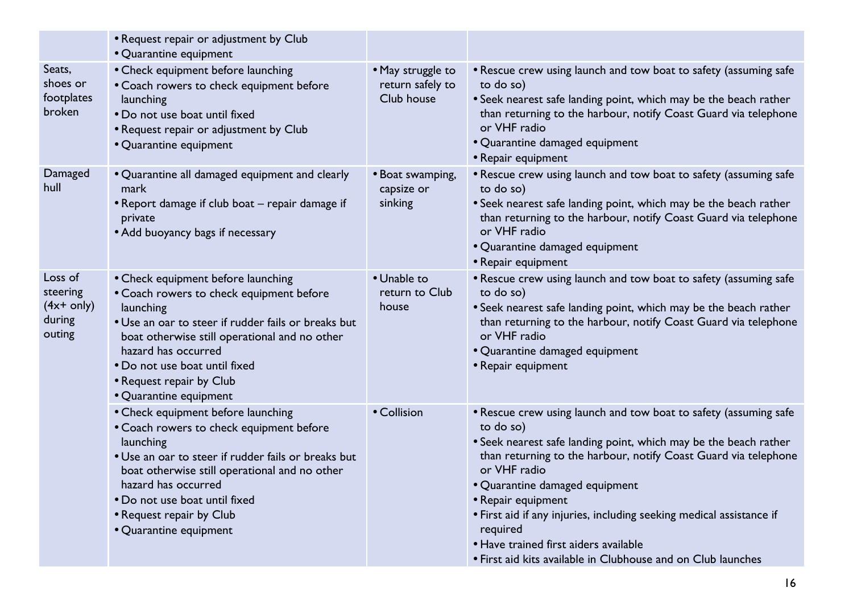|                                                         | • Request repair or adjustment by Club<br>• Quarantine equipment                                                                                                                                                                                                                                                  |                                                     |                                                                                                                                                                                                                                                                                                                                                                                                                                                                                           |
|---------------------------------------------------------|-------------------------------------------------------------------------------------------------------------------------------------------------------------------------------------------------------------------------------------------------------------------------------------------------------------------|-----------------------------------------------------|-------------------------------------------------------------------------------------------------------------------------------------------------------------------------------------------------------------------------------------------------------------------------------------------------------------------------------------------------------------------------------------------------------------------------------------------------------------------------------------------|
| Seats,<br>shoes or<br>footplates<br>broken              | • Check equipment before launching<br>• Coach rowers to check equipment before<br>launching<br>• Do not use boat until fixed<br>• Request repair or adjustment by Club<br>• Quarantine equipment                                                                                                                  | • May struggle to<br>return safely to<br>Club house | • Rescue crew using launch and tow boat to safety (assuming safe<br>to do so)<br>• Seek nearest safe landing point, which may be the beach rather<br>than returning to the harbour, notify Coast Guard via telephone<br>or VHF radio<br>• Quarantine damaged equipment<br>• Repair equipment                                                                                                                                                                                              |
| Damaged<br>hull                                         | • Quarantine all damaged equipment and clearly<br>mark<br>• Report damage if club boat – repair damage if<br>private<br>• Add buoyancy bags if necessary                                                                                                                                                          | • Boat swamping,<br>capsize or<br>sinking           | • Rescue crew using launch and tow boat to safety (assuming safe<br>to do so)<br>• Seek nearest safe landing point, which may be the beach rather<br>than returning to the harbour, notify Coast Guard via telephone<br>or VHF radio<br>• Quarantine damaged equipment<br>• Repair equipment                                                                                                                                                                                              |
| Loss of<br>steering<br>$(4x+$ only)<br>during<br>outing | • Check equipment before launching<br>• Coach rowers to check equipment before<br>launching<br>• Use an oar to steer if rudder fails or breaks but<br>boat otherwise still operational and no other<br>hazard has occurred<br>• Do not use boat until fixed<br>• Request repair by Club<br>• Quarantine equipment | • Unable to<br>return to Club<br>house              | . Rescue crew using launch and tow boat to safety (assuming safe<br>to do so)<br>• Seek nearest safe landing point, which may be the beach rather<br>than returning to the harbour, notify Coast Guard via telephone<br>or VHF radio<br>• Quarantine damaged equipment<br>• Repair equipment                                                                                                                                                                                              |
|                                                         | • Check equipment before launching<br>• Coach rowers to check equipment before<br>launching<br>· Use an oar to steer if rudder fails or breaks but<br>boat otherwise still operational and no other<br>hazard has occurred<br>• Do not use boat until fixed<br>• Request repair by Club<br>• Quarantine equipment | • Collision                                         | • Rescue crew using launch and tow boat to safety (assuming safe<br>to do so)<br>• Seek nearest safe landing point, which may be the beach rather<br>than returning to the harbour, notify Coast Guard via telephone<br>or VHF radio<br>• Quarantine damaged equipment<br>• Repair equipment<br>• First aid if any injuries, including seeking medical assistance if<br>required<br>• Have trained first aiders available<br>• First aid kits available in Clubhouse and on Club launches |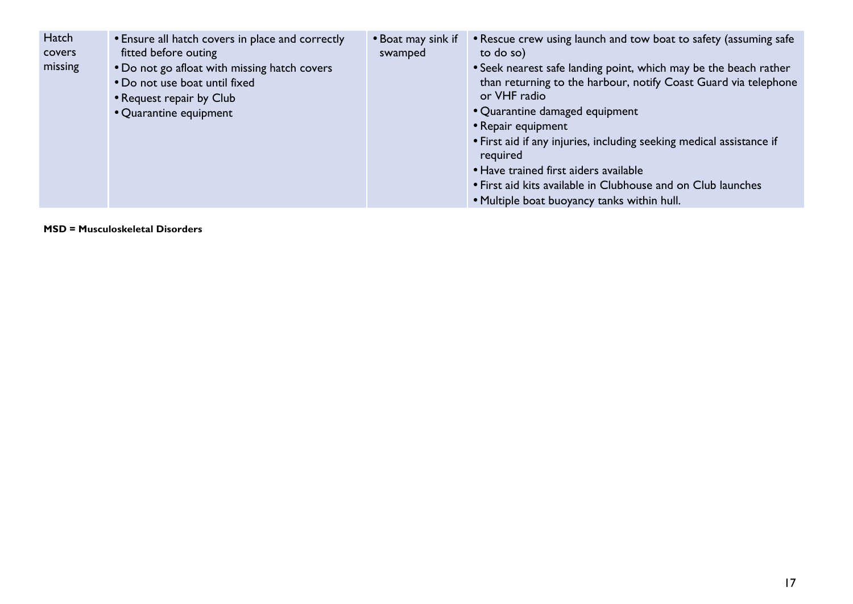| Hatch<br>covers | • Ensure all hatch covers in place and correctly<br>fitted before outing | • Boat may sink if<br>swamped | • Rescue crew using launch and tow boat to safety (assuming safe<br>to do so)                                                       |
|-----------------|--------------------------------------------------------------------------|-------------------------------|-------------------------------------------------------------------------------------------------------------------------------------|
| missing         | • Do not go afloat with missing hatch covers                             |                               | • Seek nearest safe landing point, which may be the beach rather<br>than returning to the harbour, notify Coast Guard via telephone |
|                 | • Do not use boat until fixed<br>• Request repair by Club                |                               | or VHF radio                                                                                                                        |
|                 | • Quarantine equipment                                                   |                               | • Quarantine damaged equipment                                                                                                      |
|                 |                                                                          |                               | • Repair equipment                                                                                                                  |
|                 |                                                                          |                               | • First aid if any injuries, including seeking medical assistance if<br>required                                                    |
|                 |                                                                          |                               | • Have trained first aiders available                                                                                               |
|                 |                                                                          |                               | • First aid kits available in Clubhouse and on Club launches                                                                        |
|                 |                                                                          |                               | . Multiple boat buoyancy tanks within hull.                                                                                         |

**MSD = Musculoskeletal Disorders**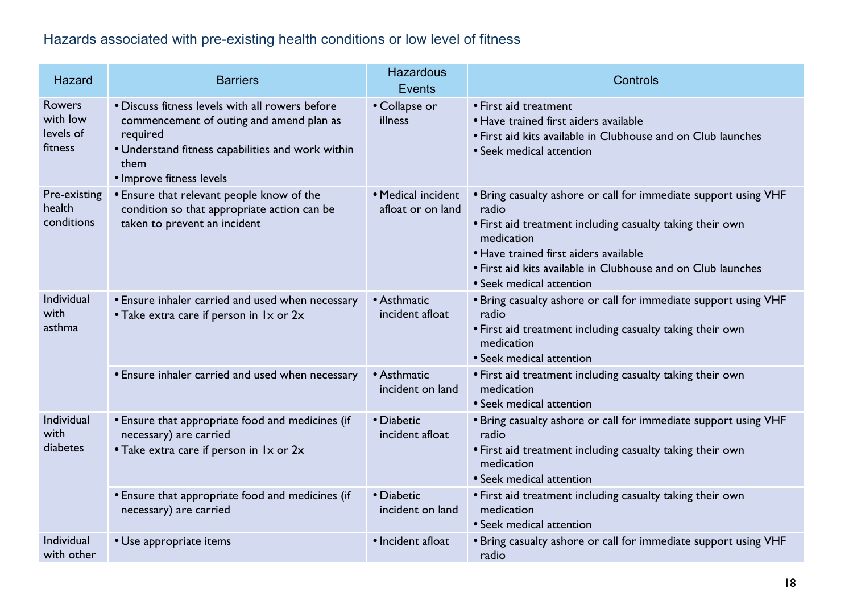## Hazards associated with pre-existing health conditions or low level of fitness

| Hazard                                            | <b>Barriers</b>                                                                                                                                                                                  | <b>Hazardous</b><br>Events              | Controls                                                                                                                                                                                                                                                                                 |
|---------------------------------------------------|--------------------------------------------------------------------------------------------------------------------------------------------------------------------------------------------------|-----------------------------------------|------------------------------------------------------------------------------------------------------------------------------------------------------------------------------------------------------------------------------------------------------------------------------------------|
| <b>Rowers</b><br>with low<br>levels of<br>fitness | · Discuss fitness levels with all rowers before<br>commencement of outing and amend plan as<br>required<br>• Understand fitness capabilities and work within<br>them<br>· Improve fitness levels | • Collapse or<br>illness                | • First aid treatment<br>• Have trained first aiders available<br>• First aid kits available in Clubhouse and on Club launches<br>• Seek medical attention                                                                                                                               |
| Pre-existing<br>health<br>conditions              | • Ensure that relevant people know of the<br>condition so that appropriate action can be<br>taken to prevent an incident                                                                         | • Medical incident<br>afloat or on land | . Bring casualty ashore or call for immediate support using VHF<br>radio<br>• First aid treatment including casualty taking their own<br>medication<br>• Have trained first aiders available<br>• First aid kits available in Clubhouse and on Club launches<br>• Seek medical attention |
| Individual<br>with<br>asthma                      | • Ensure inhaler carried and used when necessary<br>• Take extra care if person in 1x or 2x                                                                                                      | • Asthmatic<br>incident afloat          | . Bring casualty ashore or call for immediate support using VHF<br>radio<br>• First aid treatment including casualty taking their own<br>medication<br>• Seek medical attention                                                                                                          |
|                                                   | · Ensure inhaler carried and used when necessary                                                                                                                                                 | • Asthmatic<br>incident on land         | • First aid treatment including casualty taking their own<br>medication<br>• Seek medical attention                                                                                                                                                                                      |
| Individual<br>with<br>diabetes                    | • Ensure that appropriate food and medicines (if<br>necessary) are carried<br>• Take extra care if person in 1x or 2x                                                                            | • Diabetic<br>incident afloat           | . Bring casualty ashore or call for immediate support using VHF<br>radio<br>• First aid treatment including casualty taking their own<br>medication<br>• Seek medical attention                                                                                                          |
|                                                   | • Ensure that appropriate food and medicines (if<br>necessary) are carried                                                                                                                       | • Diabetic<br>incident on land          | • First aid treatment including casualty taking their own<br>medication<br>• Seek medical attention                                                                                                                                                                                      |
| Individual<br>with other                          | • Use appropriate items                                                                                                                                                                          | • Incident afloat                       | . Bring casualty ashore or call for immediate support using VHF<br>radio                                                                                                                                                                                                                 |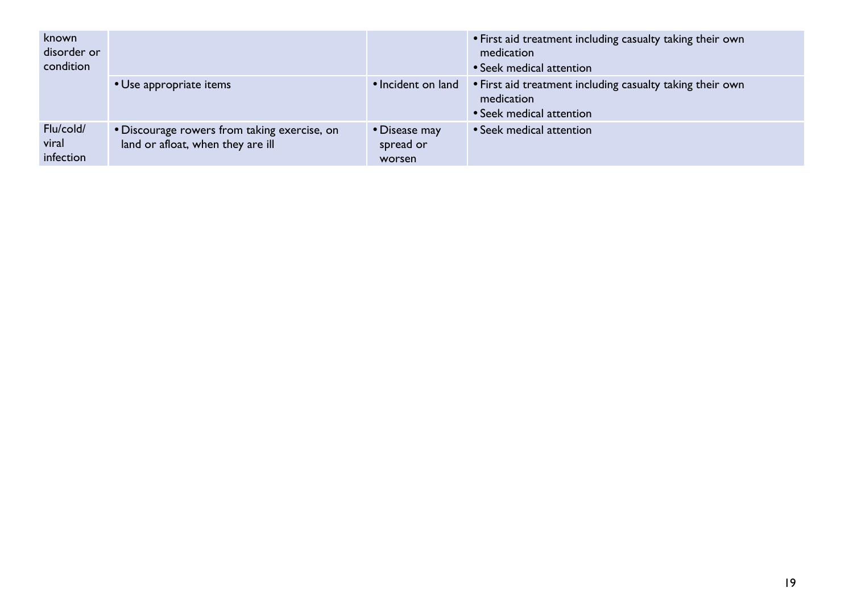| known<br>disorder or<br>condition |                                                                                   |                                      | • First aid treatment including casualty taking their own<br>medication<br>• Seek medical attention |
|-----------------------------------|-----------------------------------------------------------------------------------|--------------------------------------|-----------------------------------------------------------------------------------------------------|
|                                   | • Use appropriate items                                                           | • Incident on land                   | • First aid treatment including casualty taking their own<br>medication<br>• Seek medical attention |
| Flu/cold/<br>viral<br>infection   | . Discourage rowers from taking exercise, on<br>land or afloat, when they are ill | • Disease may<br>spread or<br>worsen | • Seek medical attention                                                                            |